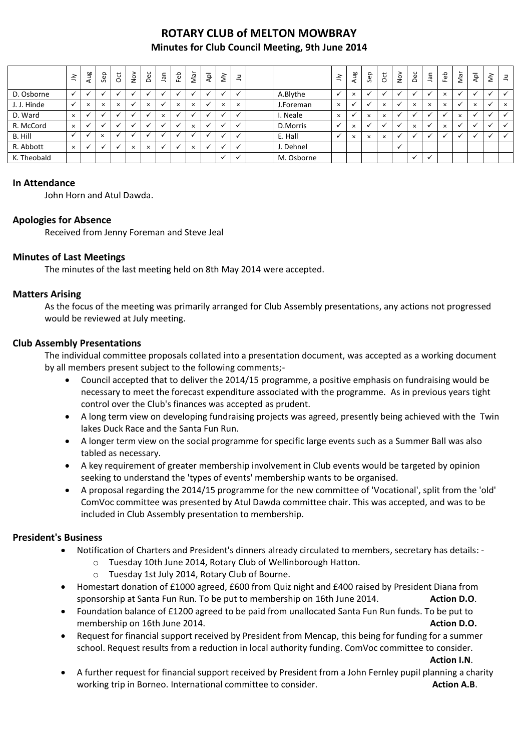# **ROTARY CLUB of MELTON MOWBRAY Minutes for Club Council Meeting, 9th June 2014**

|             | $\leq$       | Aug      | Sep                     | $\overline{5}$ | $\sum_{i=1}^{\infty}$ | Dec                  | nal      | Feb                  | Nar                       | Αpl | š            | $\exists$    |         |            | $\leq$   | కి<br>ਤ  | Sep      | õ        | $\stackrel{\textsf{o}}{\simeq}$ | Dec            | Ξ        | မိ<br>正  | Nar      | $\overline{P}$          | š                    | $\exists$ |
|-------------|--------------|----------|-------------------------|----------------|-----------------------|----------------------|----------|----------------------|---------------------------|-----|--------------|--------------|---------|------------|----------|----------|----------|----------|---------------------------------|----------------|----------|----------|----------|-------------------------|----------------------|-----------|
| D. Osborne  |              |          |                         |                |                       |                      |          |                      |                           |     |              | $\checkmark$ |         | A.Blythe   |          | $\times$ |          |          |                                 |                |          | $\times$ |          |                         | $\ddot{\phantom{0}}$ |           |
| J. J. Hinde | $\checkmark$ | $\times$ | $\times$                | $\times$       |                       | $\times$             |          | $\times$             | $\times$                  |     | $\times$     | $\times$     |         | J.Foreman  | $\times$ |          |          | $\times$ |                                 | $\times$       | $\times$ | $\times$ |          | $\times$                | $\checkmark$         | $\times$  |
| D. Ward     | $\times$     |          | $\ddot{\phantom{0}}$    |                |                       |                      | $\times$ |                      |                           |     |              | $\checkmark$ |         | I. Neale   | $\times$ |          | $\times$ | $\times$ |                                 | $\overline{u}$ |          |          | $\times$ | $\checkmark$            | $\checkmark$         |           |
| R. McCord   | $\times$     |          |                         |                |                       | $\ddot{\phantom{0}}$ |          | $\ddot{\phantom{0}}$ | $\boldsymbol{\mathsf{x}}$ |     | ✔            | $\checkmark$ |         | D.Morris   |          | $\times$ |          |          |                                 | $\times$       |          | $\times$ |          | $\overline{\mathbf{u}}$ | $\checkmark$         |           |
| B. Hill     | $\checkmark$ |          | $\times$                |                |                       |                      |          |                      |                           |     |              | $\checkmark$ | E. Hall |            |          | $\times$ | $\times$ | $\times$ |                                 |                |          |          |          |                         | $\ddot{\phantom{0}}$ |           |
| R. Abbott   | $\times$     |          | $\overline{\mathbf{u}}$ |                | $\times$              | $\times$             |          | $\ddot{\phantom{0}}$ | $\boldsymbol{\mathsf{x}}$ |     | $\checkmark$ | $\checkmark$ |         | J. Dehnel  |          |          |          |          | $\checkmark$                    |                |          |          |          |                         |                      |           |
| K. Theobald |              |          |                         |                |                       |                      |          |                      |                           |     | $\checkmark$ | $\checkmark$ |         | M. Osborne |          |          |          |          |                                 | $\checkmark$   |          |          |          |                         |                      |           |

#### **In Attendance**

John Horn and Atul Dawda.

## **Apologies for Absence**

Received from Jenny Foreman and Steve Jeal

## **Minutes of Last Meetings**

The minutes of the last meeting held on 8th May 2014 were accepted.

## **Matters Arising**

As the focus of the meeting was primarily arranged for Club Assembly presentations, any actions not progressed would be reviewed at July meeting.

## **Club Assembly Presentations**

The individual committee proposals collated into a presentation document, was accepted as a working document by all members present subject to the following comments;-

- Council accepted that to deliver the 2014/15 programme, a positive emphasis on fundraising would be necessary to meet the forecast expenditure associated with the programme. As in previous years tight control over the Club's finances was accepted as prudent.
- A long term view on developing fundraising projects was agreed, presently being achieved with the Twin lakes Duck Race and the Santa Fun Run.
- A longer term view on the social programme for specific large events such as a Summer Ball was also tabled as necessary.
- A key requirement of greater membership involvement in Club events would be targeted by opinion seeking to understand the 'types of events' membership wants to be organised.
- A proposal regarding the 2014/15 programme for the new committee of 'Vocational', split from the 'old' ComVoc committee was presented by Atul Dawda committee chair. This was accepted, and was to be included in Club Assembly presentation to membership.

## **President's Business**

- Notification of Charters and President's dinners already circulated to members, secretary has details:
	- o Tuesday 10th June 2014, Rotary Club of Wellinborough Hatton.
	- o Tuesday 1st July 2014, Rotary Club of Bourne.
- Homestart donation of £1000 agreed, £600 from Quiz night and £400 raised by President Diana from sponsorship at Santa Fun Run. To be put to membership on 16th June 2014. **Action D.O**.
- Foundation balance of £1200 agreed to be paid from unallocated Santa Fun Run funds. To be put to membership on 16th June 2014. **Action D.O. Action D.O. Action D.O.**
- Request for financial support received by President from Mencap, this being for funding for a summer school. Request results from a reduction in local authority funding. ComVoc committee to consider.

**Action I.N**.

 A further request for financial support received by President from a John Fernley pupil planning a charity working trip in Borneo. International committee to consider. **Action A.B.** Action A.B.